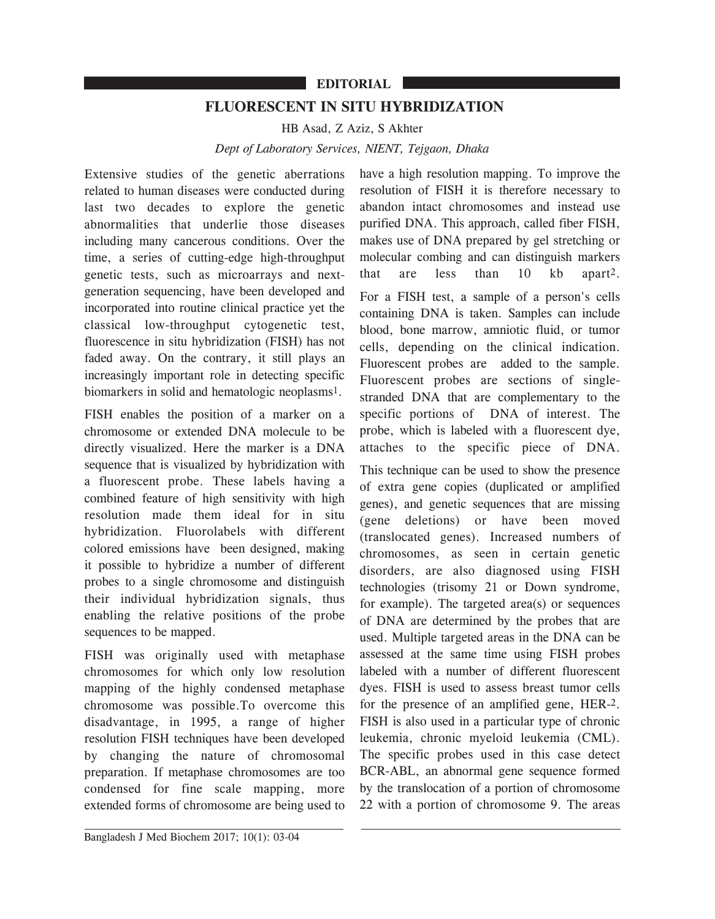## **EDITORIAL**

## **FLUORESCENT IN SITU HYBRIDIZATION**

HB Asad, Z Aziz, S Akhter

*Dept of Laboratory Services, NIENT, Tejgaon, Dhaka*

Extensive studies of the genetic aberrations related to human diseases were conducted during last two decades to explore the genetic abnormalities that underlie those diseases including many cancerous conditions. Over the time, a series of cutting-edge high-throughput genetic tests, such as microarrays and nextgeneration sequencing, have been developed and incorporated into routine clinical practice yet the classical low-throughput cytogenetic test, fluorescence in situ hybridization (FISH) has not faded away. On the contrary, it still plays an increasingly important role in detecting specific biomarkers in solid and hematologic neoplasms1.

FISH enables the position of a marker on a chromosome or extended DNA molecule to be directly visualized. Here the marker is a DNA sequence that is visualized by hybridization with a fluorescent probe. These labels having a combined feature of high sensitivity with high resolution made them ideal for in situ hybridization. Fluorolabels with different colored emissions have been designed, making it possible to hybridize a number of different probes to a single chromosome and distinguish their individual hybridization signals, thus enabling the relative positions of the probe sequences to be mapped.

FISH was originally used with metaphase chromosomes for which only low resolution mapping of the highly condensed metaphase chromosome was possible.To overcome this disadvantage, in 1995, a range of higher resolution FISH techniques have been developed by changing the nature of chromosomal preparation. If metaphase chromosomes are too condensed for fine scale mapping, more extended forms of chromosome are being used to

have a high resolution mapping. To improve the resolution of FISH it is therefore necessary to abandon intact chromosomes and instead use purified DNA. This approach, called fiber FISH, makes use of DNA prepared by gel stretching or molecular combing and can distinguish markers that are less than 10 kb apart2.

For a FISH test, a sample of a person's cells containing DNA is taken. Samples can include blood, bone marrow, amniotic fluid, or tumor cells, depending on the clinical indication. Fluorescent probes are added to the sample. Fluorescent probes are sections of singlestranded DNA that are complementary to the specific portions of DNA of interest. The probe, which is labeled with a fluorescent dye, attaches to the specific piece of DNA.

This technique can be used to show the presence of extra gene copies (duplicated or amplified genes), and genetic sequences that are missing (gene deletions) or have been moved (translocated genes). Increased numbers of chromosomes, as seen in certain genetic disorders, are also diagnosed using FISH technologies (trisomy 21 or Down syndrome, for example). The targeted area(s) or sequences of DNA are determined by the probes that are used. Multiple targeted areas in the DNA can be assessed at the same time using FISH probes labeled with a number of different fluorescent dyes. FISH is used to assess breast tumor cells for the presence of an amplified gene, HER-2. FISH is also used in a particular type of chronic leukemia, chronic myeloid leukemia (CML). The specific probes used in this case detect BCR-ABL, an abnormal gene sequence formed by the translocation of a portion of chromosome 22 with a portion of chromosome 9. The areas